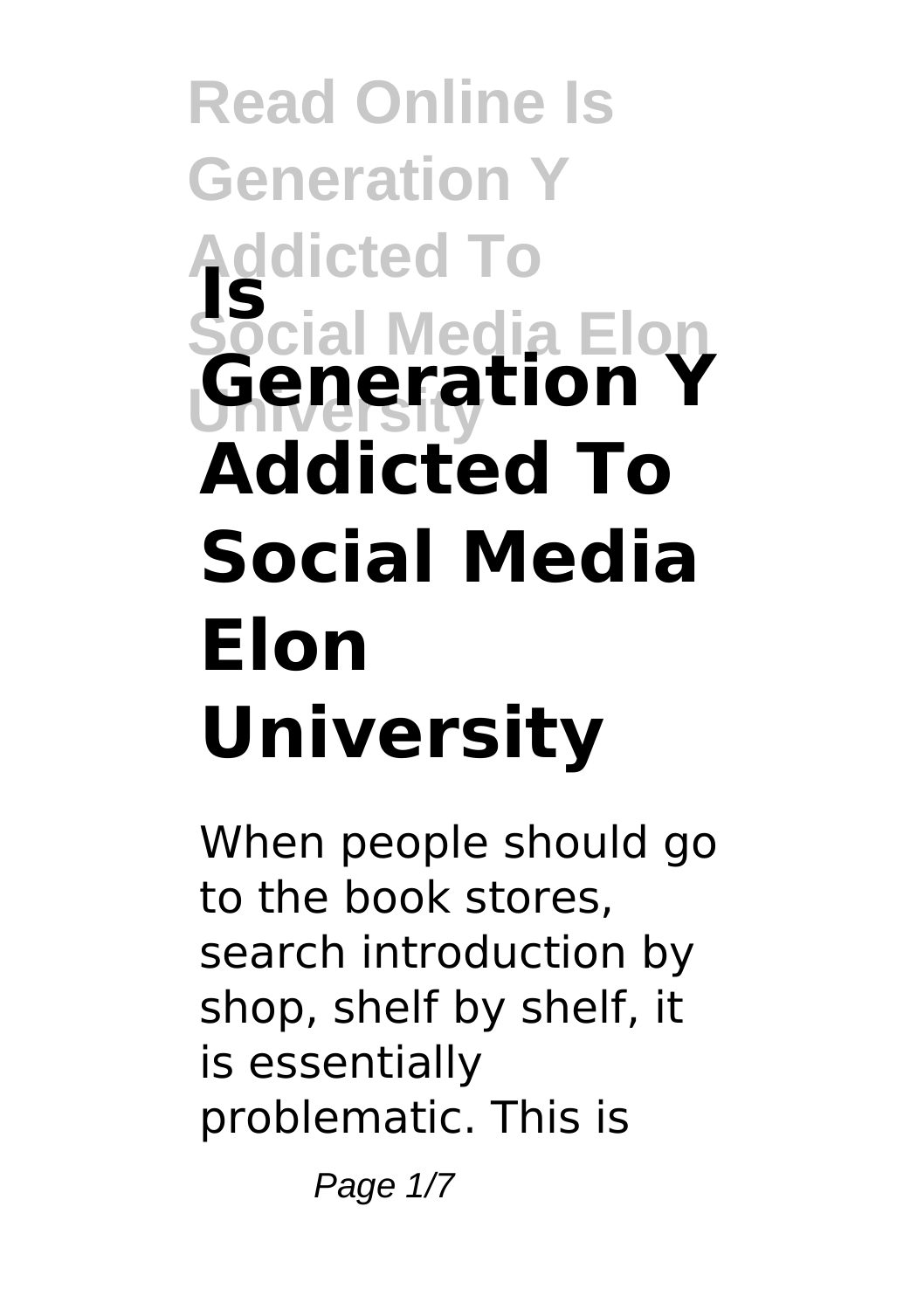## **Read Online Is Generation Y Addicted To Social Media Elon University Is Generation Y Addicted To Social Media Elon University**

When people should go to the book stores, search introduction by shop, shelf by shelf, it is essentially problematic. This is

Page  $1/7$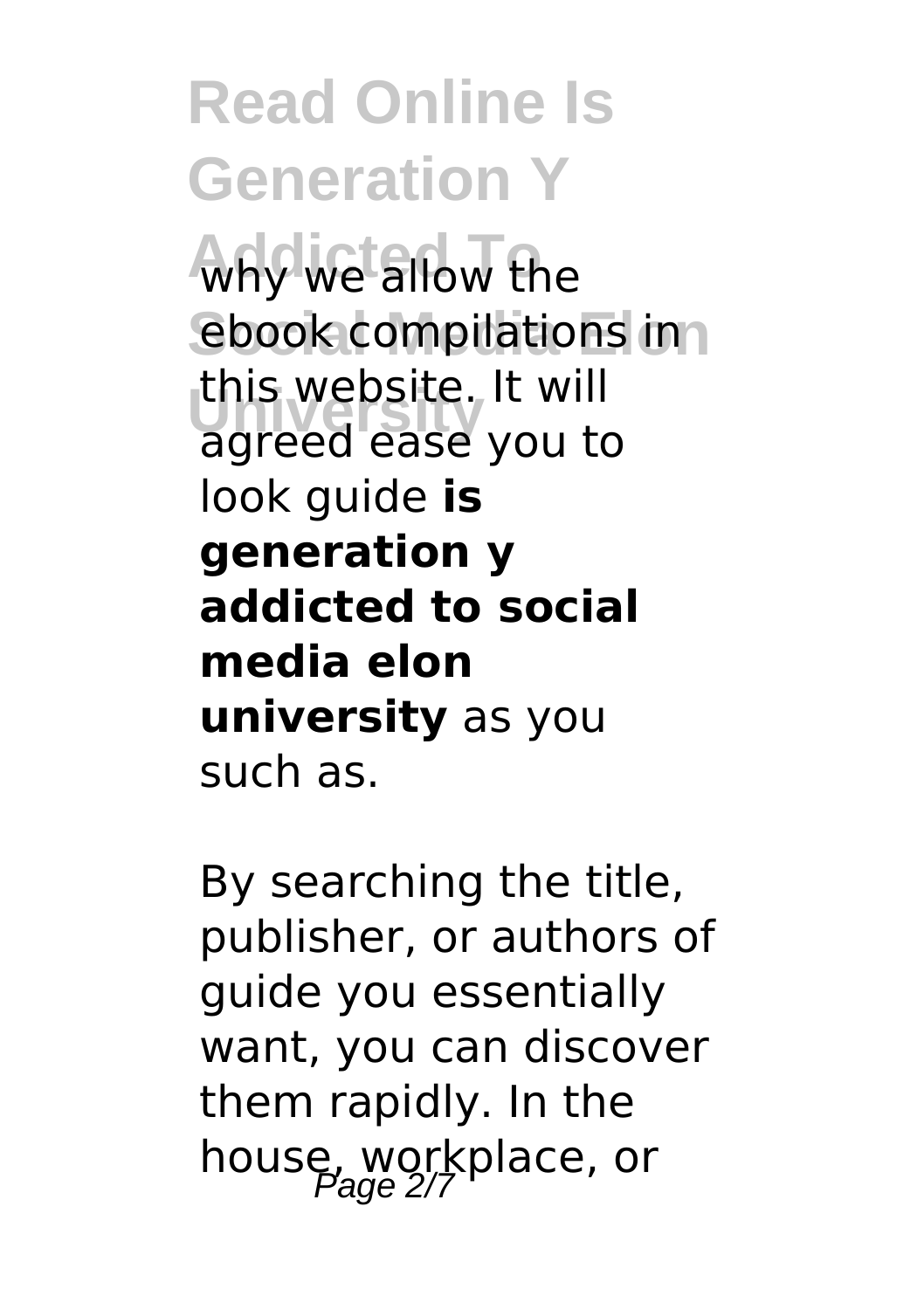**Read Online Is Generation Y Addicted To** why we allow the ebook compilations in **University** agreed ease you to this website. It will look guide **is generation y addicted to social media elon university** as you such as.

By searching the title, publisher, or authors of guide you essentially want, you can discover them rapidly. In the house, workplace, or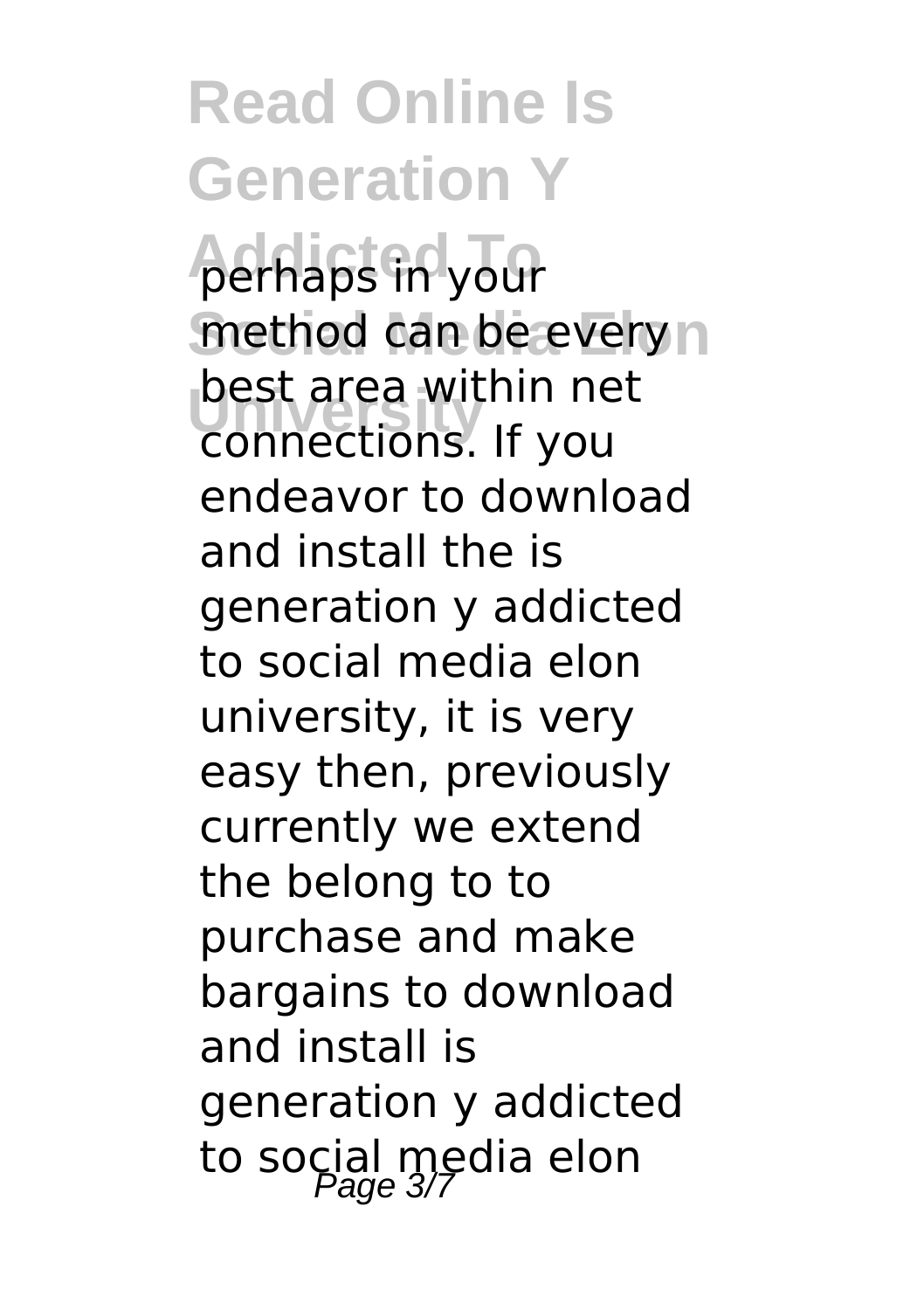**Read Online Is Generation Y** perhaps in your method can be every n **University** connections. If you best area within net endeavor to download and install the is generation y addicted to social media elon university, it is very easy then, previously currently we extend the belong to to purchase and make bargains to download and install is generation y addicted to social media elon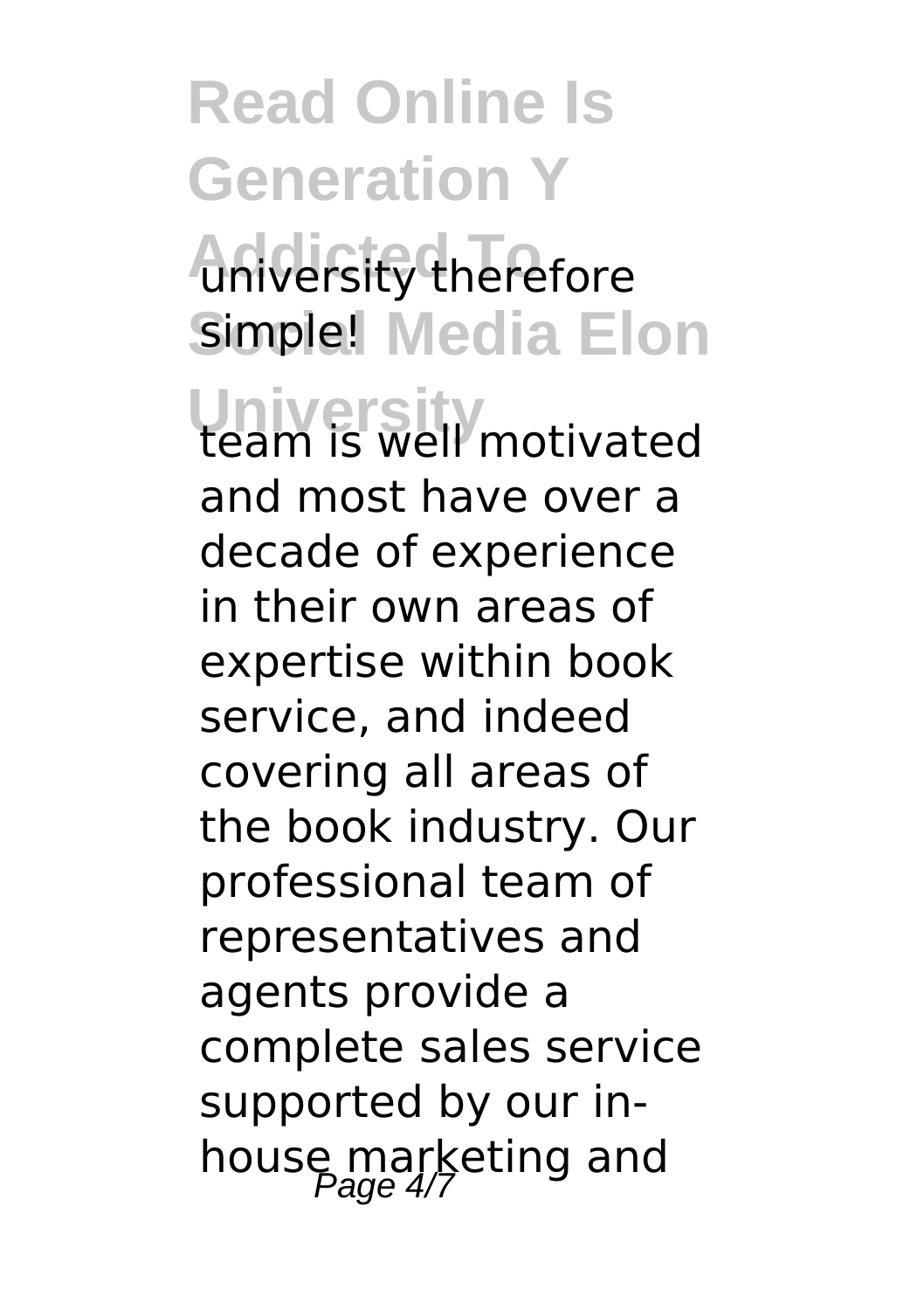## **Read Online Is Generation Y Aniversity therefore** Simple! Media Elon

**University** team is well motivated and most have over a decade of experience in their own areas of expertise within book service, and indeed covering all areas of the book industry. Our professional team of representatives and agents provide a complete sales service supported by our inhouse marketing and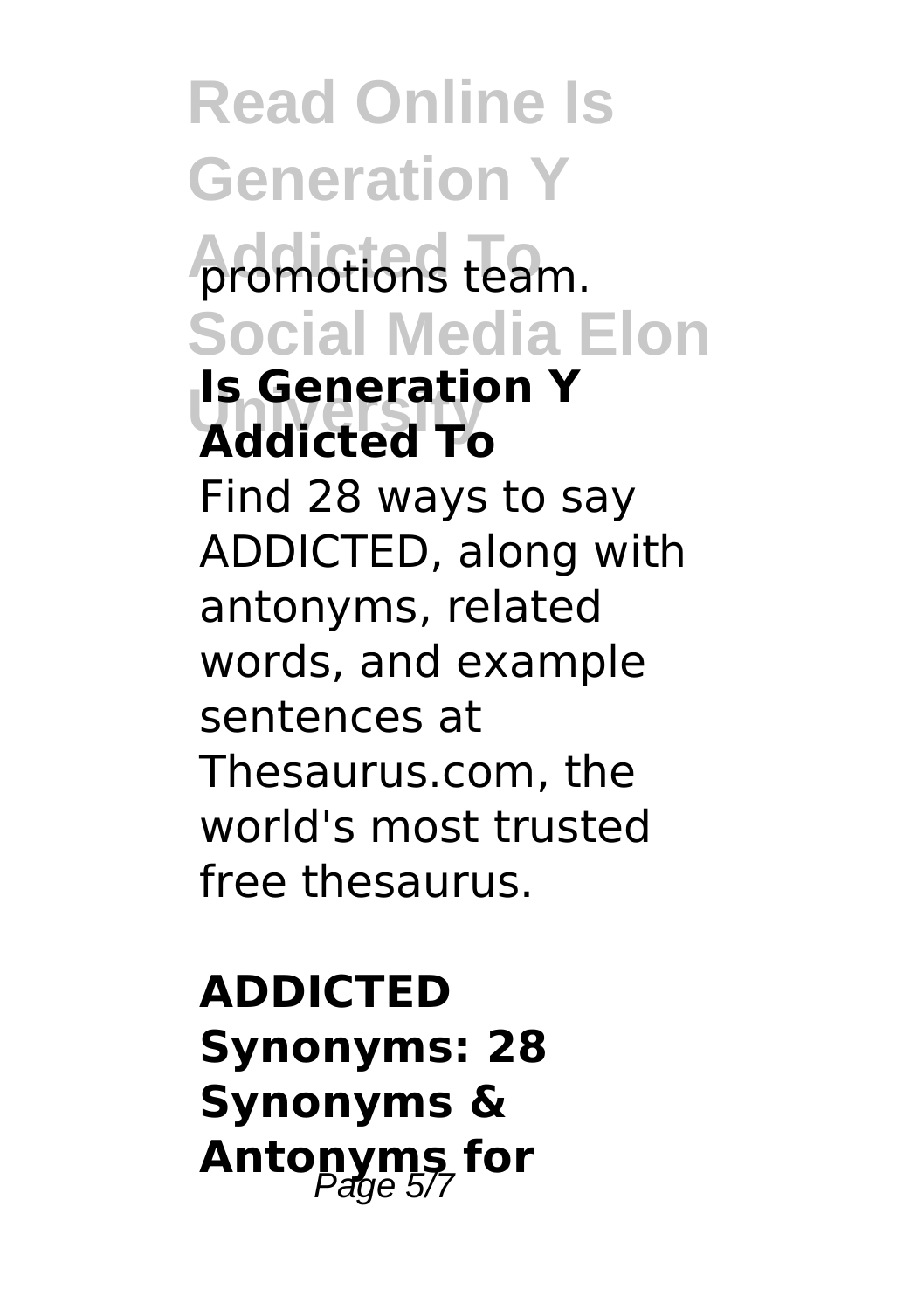**Read Online Is Generation Y promotions team. Social Media Elon University Addicted To Is Generation Y** Find 28 ways to say ADDICTED, along with antonyms, related words, and example sentences at Thesaurus.com, the world's most trusted free thesaurus.

## **ADDICTED Synonyms: 28 Synonyms & Antonyms for**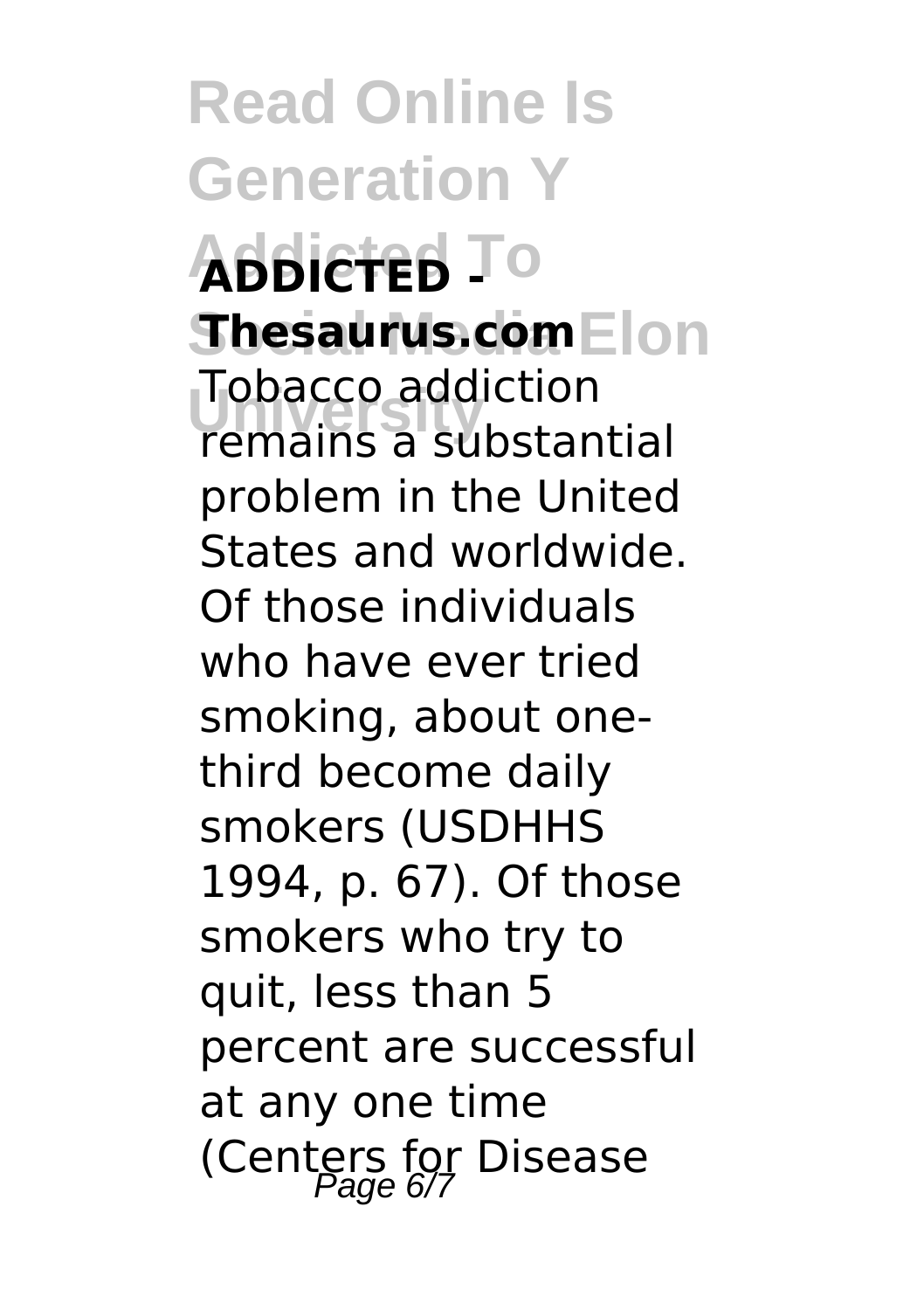**Read Online Is Generation Y Addicted To ADDICTED - Shesaurus.com**Elon **University** remains a substantial Tobacco addiction problem in the United States and worldwide. Of those individuals who have ever tried smoking, about onethird become daily smokers (USDHHS 1994, p. 67). Of those smokers who try to quit, less than 5 percent are successful at any one time (Centers for Disease